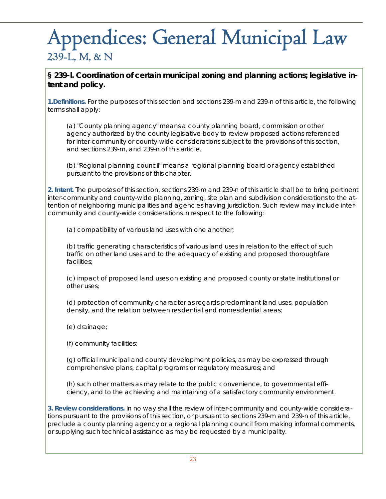# Appendices: General Municipal Law 239-L, M, & N

**§ 239-l. Coordination of certain municipal zoning and planning actions; legislative intent and policy.** 

**1.Definitions.** For the purposes of this section and sections 239-m and 239-n of this article, the following terms shall apply:

(a) "County planning agency" means a county planning board, commission or other agency authorized by the county legislative body to review proposed actions referenced for inter-community or county-wide considerations subject to the provisions of this section, and sections 239-m, and 239-n of this article.

(b) "Regional planning council" means a regional planning board or agency established pursuant to the provisions of this chapter.

**2. Intent.** The purposes of this section, sections 239-m and 239-n of this article shall be to bring pertinent inter-community and county-wide planning, zoning, site plan and subdivision considerations to the attention of neighboring municipalities and agencies having jurisdiction. Such review may include intercommunity and county-wide considerations in respect to the following:

(a) compatibility of various land uses with one another;

(b) traffic generating characteristics of various land uses in relation to the effect of such traffic on other land uses and to the adequacy of existing and proposed thoroughfare facilities;

(c) impact of proposed land uses on existing and proposed county or state institutional or other uses;

(d) protection of community character as regards predominant land uses, population density, and the relation between residential and nonresidential areas;

(e) drainage;

(f) community facilities;

(g) official municipal and county development policies, as may be expressed through comprehensive plans, capital programs or regulatory measures; and

(h) such other matters as may relate to the public convenience, to governmental efficiency, and to the achieving and maintaining of a satisfactory community environment.

**3. Review considerations.** In no way shall the review of inter-community and county-wide considerations pursuant to the provisions of this section, or pursuant to sections 239-m and 239-n of this article, preclude a county planning agency or a regional planning council from making informal comments, or supplying such technical assistance as may be requested by a municipality.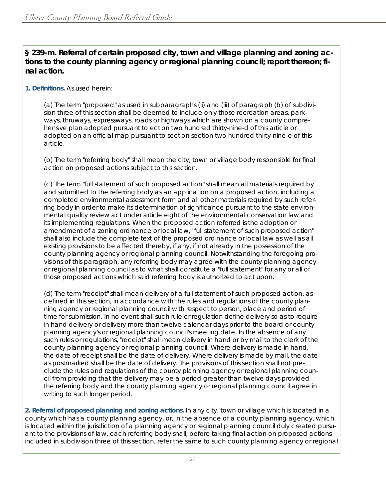**§ 239-m. Referral of certain proposed city, town and village planning and zoning actions to the county planning agency or regional planning council; report thereon; final action.** 

## **1. Definitions.** As used herein:

(a) The term "proposed" as used in subparagraphs (ii) and (iii) of paragraph (b) of subdivision three of this section shall be deemed to include only those recreation areas, parkways, thruways, expressways, roads or highways which are shown on a county comprehensive plan adopted pursuant to ection two hundred thirty-nine-d of this article or adopted on an official map pursuant to section section two hundred thirty-nine-e of this article.

(b) The term "referring body" shall mean the city, town or village body responsible for final action on proposed actions subject to this section.

(c) The term "full statement of such proposed action" shall mean all materials required by and submitted to the referring body as an application on a proposed action, including a completed environmental assessment form and all other materials required by such referring body in order to make its determination of significance pursuant to the state environmental quality review act under article eight of the environmental conservation law and its implementing regulations. When the proposed action referred is the adoption or amendment of a zoning ordinance or local law, "full statement of such proposed action" shall also include the complete text of the proposed ordinance or local law as well as all existing provisions to be affected thereby, if any, if not already in the possession of the county planning agency or regional planning council. Notwithstanding the foregoing provisions of this paragraph, any referring body may agree with the county planning agency or regional planning council as to what shall constitute a "full statement" for any or all of those proposed actions which said referring body is authorized to act upon.

(d) The term "receipt" shall mean delivery of a full statement of such proposed action, as defined in this section, in accordance with the rules and regulations of the county planning agency or regional planning council with respect to person, place and period of time for submission. In no event shall such rule or regulation define delivery so as to require in hand delivery or delivery more than twelve calendar days prior to the board or county planning agency's or regional planning council's meeting date. In the absence of any such rules or regulations, "receipt" shall mean delivery in hand or by mail to the clerk of the county planning agency or regional planning council. Where delivery is made in hand, the date of receipt shall be the date of delivery. Where delivery is made by mail, the date as postmarked shall be the date of delivery. The provisions of this section shall not preclude the rules and regulations of the county planning agency or regional planning council from providing that the delivery may be a period greater than twelve days provided the referring body and the county planning agency or regional planning council agree in writing to such longer period.

**2. Referral of proposed planning and zoning actions.** In any city, town or village which is located in a county which has a county planning agency, or, in the absence of a county planning agency, which is located within the jurisdiction of a planning agency or regional planning council duly created pursuant to the provisions of law, each referring body shall, before taking final action on proposed actions included in subdivision three of this section, refer the same to such county planning agency or regional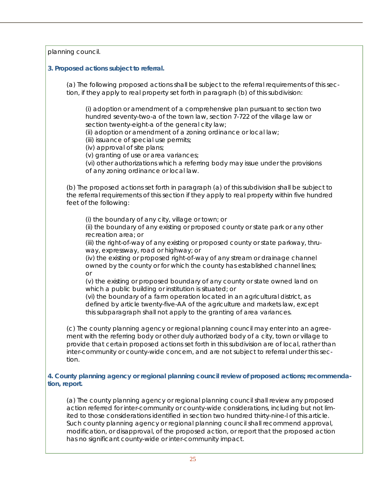planning council.

## **3. Proposed actions subject to referral.**

(a) The following proposed actions shall be subject to the referral requirements of this section, if they apply to real property set forth in paragraph (b) of this subdivision:

(i) adoption or amendment of a comprehensive plan pursuant to section two hundred seventy-two-a of the town law, section 7-722 of the village law or section twenty-eight-a of the general city law;

(ii) adoption or amendment of a zoning ordinance or local law;

(iii) issuance of special use permits;

(iv) approval of site plans;

(v) granting of use or area variances;

(vi) other authorizations which a referring body may issue under the provisions of any zoning ordinance or local law.

(b) The proposed actions set forth in paragraph (a) of this subdivision shall be subject to the referral requirements of this section if they apply to real property within five hundred feet of the following:

(i) the boundary of any city, village or town; or

(ii) the boundary of any existing or proposed county or state park or any other recreation area; or

(iii) the right-of-way of any existing or proposed county or state parkway, thruway, expressway, road or highway; or

(iv) the existing or proposed right-of-way of any stream or drainage channel owned by the county or for which the county has established channel lines; or

(v) the existing or proposed boundary of any county or state owned land on which a public building or institution is situated; or

(vi) the boundary of a farm operation located in an agricultural district, as defined by article twenty-five-AA of the agriculture and markets law, except this subparagraph shall not apply to the granting of area variances.

(c) The county planning agency or regional planning council may enter into an agreement with the referring body or other duly authorized body of a city, town or village to provide that certain proposed actions set forth in this subdivision are of local, rather than inter-community or county-wide concern, and are not subject to referral under this section.

### **4. County planning agency or regional planning council review of proposed actions; recommendation, report.**

(a) The county planning agency or regional planning council shall review any proposed action referred for inter-community or county-wide considerations, including but not limited to those considerations identified in section two hundred thirty-nine-l of this article. Such county planning agency or regional planning council shall recommend approval, modification, or disapproval, of the proposed action, or report that the proposed action has no significant county-wide or inter-community impact.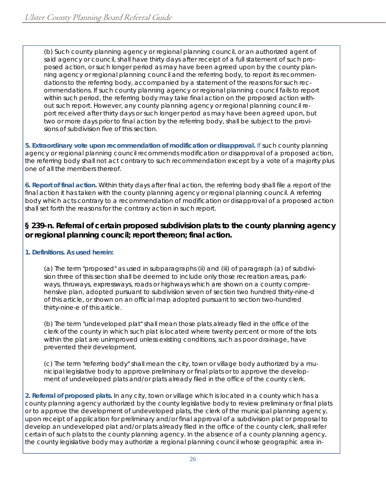(b) Such county planning agency or regional planning council, or an authorized agent of said agency or council, shall have thirty days after receipt of a full statement of such proposed action, or such longer period as may have been agreed upon by the county planning agency or regional planning council and the referring body, to report its recommendations to the referring body, accompanied by a statement of the reasons for such recommendations. If such county planning agency or regional planning council fails to report within such period, the referring body may take final action on the proposed action without such report. However, any county planning agency or regional planning council report received after thirty days or such longer period as may have been agreed upon, but two or more days prior to final action by the referring body, shall be subject to the provisions of subdivision five of this section.

**5. Extraordinary vote upon recommendation of modification or disapproval.** If such county planning agency or regional planning council recommends modification or disapproval of a proposed action, the referring body shall not act contrary to such recommendation except by a vote of a majority plus one of all the members thereof.

**6. Report of final action.** Within thirty days after final action, the referring body shall file a report of the final action it has taken with the county planning agency or regional planning council. A referring body which acts contrary to a recommendation of modification or disapproval of a proposed action shall set forth the reasons for the contrary action in such report.

# **§ 239-n. Referral of certain proposed subdivision plats to the county planning agency or regional planning council; report thereon; final action.**

## **1. Definitions. As used herein:**

(a) The term "proposed" as used in subparagraphs (ii) and (iii) of paragraph (a) of subdivision three of this section shall be deemed to include only those recreation areas, parkways, thruways, expressways, roads or highways which are shown on a county comprehensive plan, adopted pursuant to subdivision seven of section two hundred thirty-nine-d of this article, or shown on an official map adopted pursuant to section two-hundred thirty-nine-e of this article.

(b) The term "undeveloped plat" shall mean those plats already filed in the office of the clerk of the county in which such plat is located where twenty percent or more of the lots within the plat are unimproved unless existing conditions, such as poor drainage, have prevented their development.

(c) The term "referring body" shall mean the city, town or village body authorized by a municipal legislative body to approve preliminary or final plats or to approve the development of undeveloped plats and/or plats already filed in the office of the county clerk.

**2. Referral of proposed plats.** In any city, town or village which is located in a county which has a county planning agency authorized by the county legislative body to review preliminary or final plats or to approve the development of undeveloped plats, the clerk of the municipal planning agency, upon receipt of application for preliminary and/or final approval of a subdivision plat or proposal to develop an undeveloped plat and/or plats already filed in the office of the county clerk, shall refer certain of such plats to the county planning agency. In the absence of a county planning agency, the county legislative body may authorize a regional planning council whose geographic area in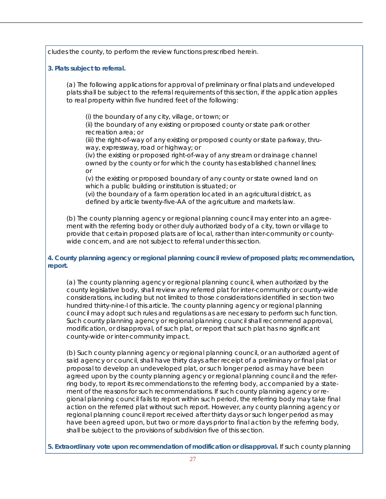cludes the county, to perform the review functions prescribed herein.

#### **3. Plats subject to referral.**

(a) The following applications for approval of preliminary or final plats and undeveloped plats shall be subject to the referral requirements of this section, if the application applies to real property within five hundred feet of the following:

(i) the boundary of any city, village, or town; or

(ii) the boundary of any existing or proposed county or state park or other recreation area; or

(iii) the right-of-way of any existing or proposed county or state parkway, thruway, expressway, road or highway; or

(iv) the existing or proposed right-of-way of any stream or drainage channel owned by the county or for which the county has established channel lines; or

(v) the existing or proposed boundary of any county or state owned land on which a public building or institution is situated; or

(vi) the boundary of a farm operation located in an agricultural district, as defined by article twenty-five-AA of the agriculture and markets law.

(b) The county planning agency or regional planning council may enter into an agreement with the referring body or other duly authorized body of a city, town or village to provide that certain proposed plats are of local, rather than inter-community or countywide concern, and are not subject to referral under this section.

### **4. County planning agency or regional planning council review of proposed plats; recommendation, report.**

(a) The county planning agency or regional planning council, when authorized by the county legislative body, shall review any referred plat for inter-community or county-wide considerations, including but not limited to those considerations identified in section two hundred thirty-nine-l of this article. The county planning agency or regional planning council may adopt such rules and regulations as are necessary to perform such function. Such county planning agency or regional planning council shall recommend approval, modification, or disapproval, of such plat, or report that such plat has no significant county-wide or inter-community impact.

(b) Such county planning agency or regional planning council, or an authorized agent of said agency or council, shall have thirty days after receipt of a preliminary or final plat or proposal to develop an undeveloped plat, or such longer period as may have been agreed upon by the county planning agency or regional planning council and the referring body, to report its recommendations to the referring body, accompanied by a statement of the reasons for such recommendations. If such county planning agency or regional planning council fails to report within such period, the referring body may take final action on the referred plat without such report. However, any county planning agency or regional planning council report received after thirty days or such longer period as may have been agreed upon, but two or more days prior to final action by the referring body, shall be subject to the provisions of subdivision five of this section.

**5. Extraordinary vote upon recommendation of modification or disapproval.** If such county planning